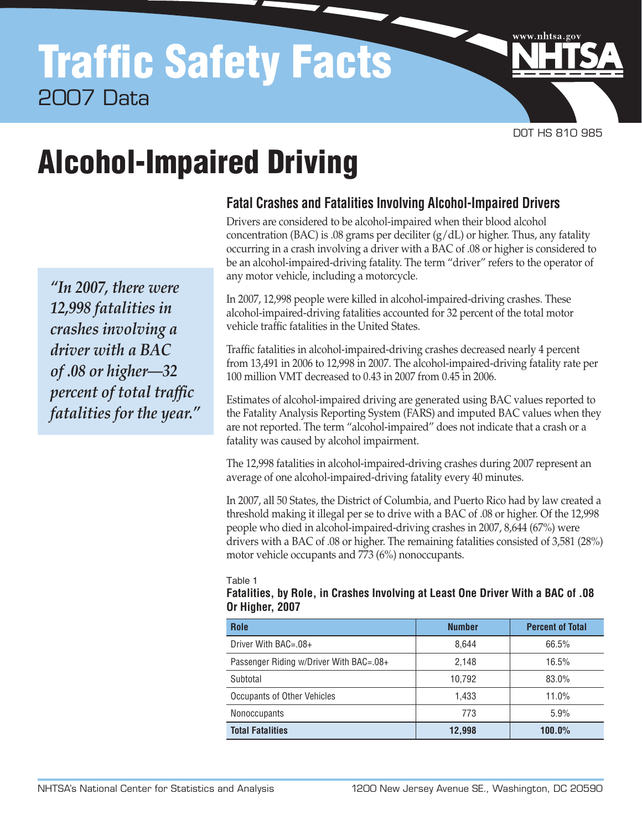# Traffic Safety Facts 2007 Data

DOT HS 810 985

www.nhtsa.go

# Alcohol-Impaired Driving

*"In 2007, there were 12,998 fatalities in crashes involving a driver with a BAC of .08 or higher—32 percent of total traffic fatalities for the year."*

# **Fatal Crashes and Fatalities Involving Alcohol-Impaired Drivers**

Drivers are considered to be alcohol-impaired when their blood alcohol concentration (BAC) is .08 grams per deciliter  $(g/dL)$  or higher. Thus, any fatality occurring in a crash involving a driver with a BAC of .08 or higher is considered to be an alcohol-impaired-driving fatality. The term "driver" refers to the operator of any motor vehicle, including a motorcycle.

In 2007, 12,998 people were killed in alcohol-impaired-driving crashes. These alcohol-impaired-driving fatalities accounted for 32 percent of the total motor vehicle traffic fatalities in the United States.

Traffic fatalities in alcohol-impaired-driving crashes decreased nearly 4 percent from 13,491 in 2006 to 12,998 in 2007. The alcohol-impaired-driving fatality rate per 100 million VMT decreased to 0.43 in 2007 from 0.45 in 2006.

Estimates of alcohol-impaired driving are generated using BAC values reported to the Fatality Analysis Reporting System (FARS) and imputed BAC values when they are not reported. The term "alcohol-impaired" does not indicate that a crash or a fatality was caused by alcohol impairment.

The 12,998 fatalities in alcohol-impaired-driving crashes during 2007 represent an average of one alcohol-impaired-driving fatality every 40 minutes.

In 2007, all 50 States, the District of Columbia, and Puerto Rico had by law created a threshold making it illegal per se to drive with a BAC of .08 or higher. Of the 12,998 people who died in alcohol-impaired-driving crashes in 2007, 8,644 (67%) were drivers with a BAC of .08 or higher. The remaining fatalities consisted of 3,581 (28%) motor vehicle occupants and 773 (6%) nonoccupants.

Table 1

#### **Fatalities, by Role, in Crashes Involving at Least One Driver With a BAC of .08 Or Higher, 2007**

| Role                                    | <b>Number</b> | <b>Percent of Total</b> |  |  |
|-----------------------------------------|---------------|-------------------------|--|--|
| Driver With BAC=.08+                    | 8.644         | 66.5%                   |  |  |
| Passenger Riding w/Driver With BAC=.08+ | 2,148         | 16.5%                   |  |  |
| Subtotal                                | 10,792        | 83.0%                   |  |  |
| Occupants of Other Vehicles             | 1.433         | 11.0%                   |  |  |
| <b>Nonoccupants</b>                     | 773           | 5.9%                    |  |  |
| <b>Total Fatalities</b>                 | 12,998        | 100.0%                  |  |  |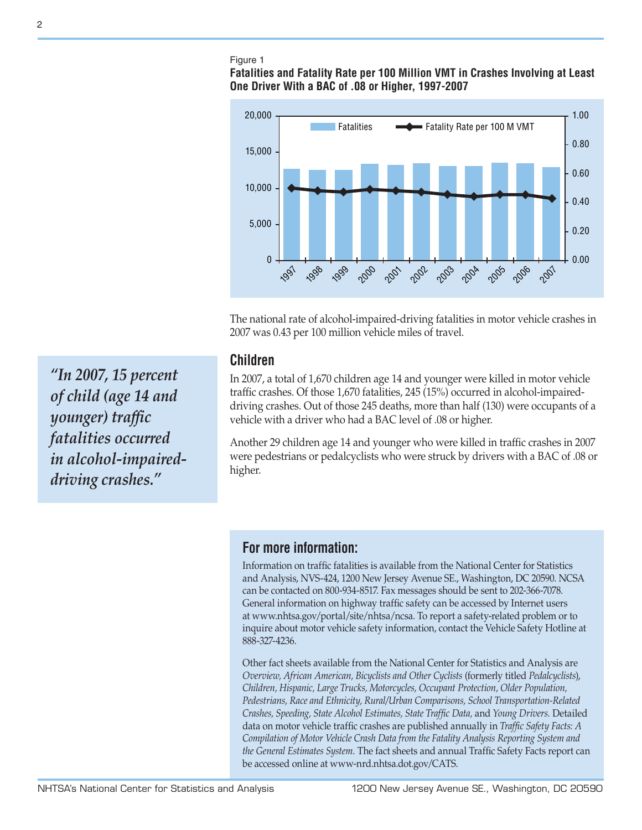#### Figure 1

### **Fatalities and Fatality Rate per 100 Million VMT in Crashes Involving at Least One Driver With a BAC of .08 or Higher, 1997-2007**



The national rate of alcohol-impaired-driving fatalities in motor vehicle crashes in 2007 was 0.43 per 100 million vehicle miles of travel.

### **Children**

In 2007, a total of 1,670 children age 14 and younger were killed in motor vehicle traffic crashes. Of those 1,670 fatalities, 245 (15%) occurred in alcohol-impaireddriving crashes. Out of those 245 deaths, more than half (130) were occupants of a vehicle with a driver who had a BAC level of .08 or higher.

Another 29 children age 14 and younger who were killed in traffic crashes in 2007 were pedestrians or pedalcyclists who were struck by drivers with a BAC of .08 or higher.

# **For more information:**

Information on traffic fatalities is available from the National Center for Statistics and Analysis, NVS-424, 1200 New Jersey Avenue SE., Washington, DC 20590. NCSA can be contacted on 800-934-8517. Fax messages should be sent to 202-366-7078. General information on highway traffic safety can be accessed by Internet users at [www.nhtsa.gov/portal/site/nhtsa/ncsa.](http://www.nhtsa.gov/portal/site/nhtsa/ncsa) To report a safety-related problem or to inquire about motor vehicle safety information, contact the Vehicle Safety Hotline at 888-327-4236.

Other fact sheets available from the National Center for Statistics and Analysis are *Overview, African American, Bicyclists and Other Cyclists* (formerly titled *Pedalcyclists*), *Children, Hispanic, Large Trucks, Motorcycles, Occupant Protection, Older Population, Pedestrians, Race and Ethnicity, Rural/Urban Comparisons, School Transportation-Related Crashes, Speeding, State Alcohol Estimates, State Traffic Data,* and *Young Drivers.* Detailed data on motor vehicle traffic crashes are published annually in *Traffic Safety Facts: A Compilation of Motor Vehicle Crash Data from the Fatality Analysis Reporting System and the General Estimates System.* The fact sheets and annual Traffic Safety Facts report can be accessed online at [www-nrd.nhtsa.dot.gov/CA](http://www-nrd.nhtsa.dot.gov/CMSWeb/index.aspx)TS.

*"In 2007, 15 percent of child (age 14 and younger) traffic fatalities occurred in alcohol-impaireddriving crashes."*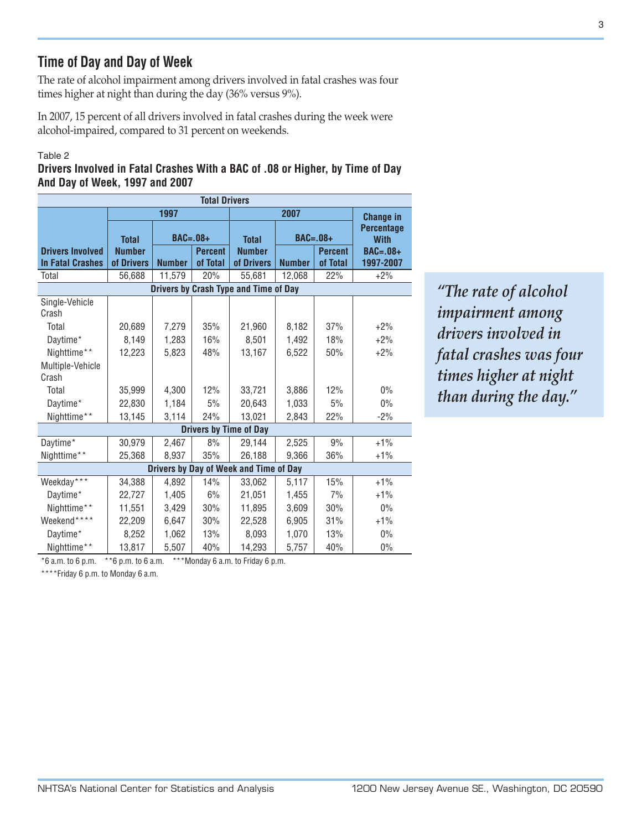# **Time of Day and Day of Week**

The rate of alcohol impairment among drivers involved in fatal crashes was four times higher at night than during the day (36% versus 9%).

In 2007, 15 percent of all drivers involved in fatal crashes during the week were alcohol-impaired, compared to 31 percent on weekends.

#### Table 2

**Drivers Involved in Fatal Crashes With a BAC of .08 or Higher, by Time of Day And Day of Week, 1997 and 2007**

| <b>Total Drivers</b>                   |               |                |          |                               |               |                |                                                      |  |  |  |
|----------------------------------------|---------------|----------------|----------|-------------------------------|---------------|----------------|------------------------------------------------------|--|--|--|
|                                        |               | 1997           |          |                               | 2007          |                |                                                      |  |  |  |
|                                        | <b>Total</b>  | $BAC=.08+$     |          | $BAC=.08+$<br><b>Total</b>    |               |                | <b>Change in</b><br><b>Percentage</b><br><b>With</b> |  |  |  |
| <b>Drivers Involved</b>                | <b>Number</b> | <b>Percent</b> |          | <b>Number</b>                 |               | <b>Percent</b> | <b>BAC=.08+</b>                                      |  |  |  |
| <b>In Fatal Crashes</b>                | of Drivers    | <b>Number</b>  | of Total | of Drivers                    | <b>Number</b> | of Total       | 1997-2007                                            |  |  |  |
| Total                                  | 56,688        | 11,579         | 20%      | 55,681                        | 12,068        | 22%            | $+2%$                                                |  |  |  |
| Drivers by Crash Type and Time of Day  |               |                |          |                               |               |                |                                                      |  |  |  |
| Single-Vehicle<br>Crash                |               |                |          |                               |               |                |                                                      |  |  |  |
| Total                                  | 20,689        | 7,279          | 35%      | 21,960                        | 8,182         | 37%            | $+2%$                                                |  |  |  |
| Daytime*                               | 8,149         | 1,283          | 16%      | 8.501                         | 1.492         | 18%            | $+2%$                                                |  |  |  |
| Nighttime**                            | 12,223        | 5,823          | 48%      | 13,167                        | 6,522         | 50%            | $+2%$                                                |  |  |  |
| Multiple-Vehicle                       |               |                |          |                               |               |                |                                                      |  |  |  |
| Crash                                  |               |                |          |                               |               |                |                                                      |  |  |  |
| Total                                  | 35,999        | 4,300          | 12%      | 33,721                        | 3,886         | 12%            | $0\%$                                                |  |  |  |
| Daytime*                               | 22,830        | 1,184          | 5%       | 20,643                        | 1,033         | 5%             | 0%                                                   |  |  |  |
| Nighttime**                            | 13,145        | 3,114          | 24%      | 13,021                        | 2,843         | 22%            | $-2%$                                                |  |  |  |
|                                        |               |                |          | <b>Drivers by Time of Day</b> |               |                |                                                      |  |  |  |
| Daytime*                               | 30,979        | 2,467          | 8%       | 29,144                        | 2,525         | 9%             | $+1\%$                                               |  |  |  |
| Nighttime**                            | 25,368        | 8,937          | 35%      | 26,188                        | 9,366         | 36%            | $+1\%$                                               |  |  |  |
| Drivers by Day of Week and Time of Day |               |                |          |                               |               |                |                                                      |  |  |  |
| Weekday***                             | 34,388        | 4,892          | 14%      | 33,062                        | 5,117         | 15%            | $+1%$                                                |  |  |  |
| Daytime*                               | 22,727        | 1,405          | 6%       | 21,051                        | 1,455         | 7%             | $+1%$                                                |  |  |  |
| Nighttime**                            | 11,551        | 3,429          | 30%      | 11,895                        | 3,609         | 30%            | 0%                                                   |  |  |  |
| Weekend****                            | 22,209        | 6,647          | 30%      | 22,528                        | 6,905         | 31%            | $+1%$                                                |  |  |  |
| Daytime*                               | 8,252         | 1,062          | 13%      | 8,093                         | 1,070         | 13%            | $0\%$                                                |  |  |  |
| Nighttime**                            | 13,817        | 5,507          | 40%      | 14,293                        | 5,757         | 40%            | 0%                                                   |  |  |  |

 $*6$  a.m. to 6 p.m.  $*6$  p.m. to 6 a.m.  $***$ Monday 6 a.m. to Friday 6 p.m.

\*\*\*\*Friday 6 p.m. to Monday 6 a.m.

*"The rate of alcohol impairment among drivers involved in fatal crashes was four times higher at night than during the day."*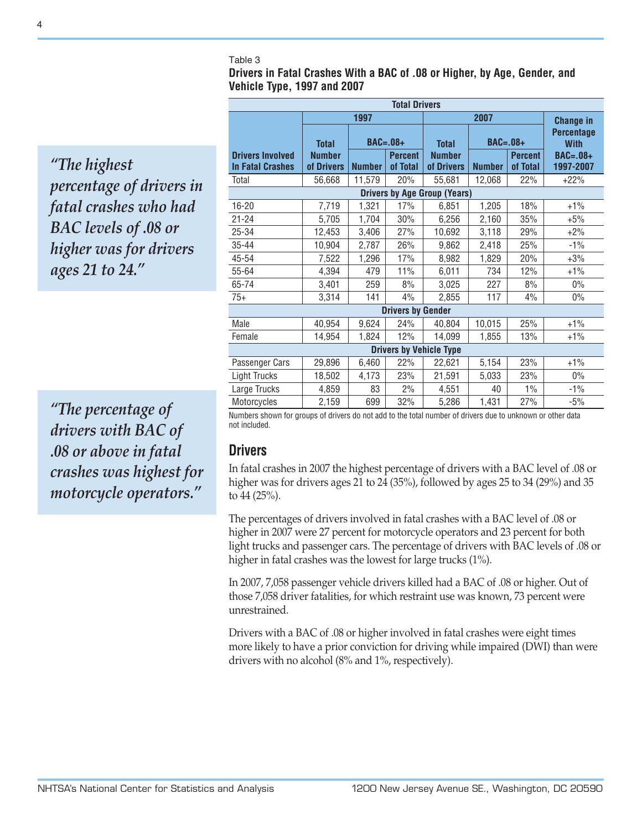#### Table 3

**Drivers in Fatal Crashes With a BAC of .08 or Higher, by Age, Gender, and Vehicle Type, 1997 and 2007**

*"The highest percentage of drivers in fatal crashes who had BAC levels of .08 or higher was for drivers ages 21 to 24."*

*"The percentage of drivers with BAC of .08 or above in fatal crashes was highest for motorcycle operators."*

| <b>Total Drivers</b>                               |                             |               |                            |                             |                  |                            |                                  |  |  |
|----------------------------------------------------|-----------------------------|---------------|----------------------------|-----------------------------|------------------|----------------------------|----------------------------------|--|--|
|                                                    |                             | 1997          |                            |                             | <b>Change in</b> |                            |                                  |  |  |
|                                                    | <b>Total</b>                |               | $BAC=.08+$                 | <b>Total</b>                | $BAC=.08+$       |                            | <b>Percentage</b><br><b>With</b> |  |  |
| <b>Drivers Involved</b><br><b>In Fatal Crashes</b> | <b>Number</b><br>of Drivers | <b>Number</b> | <b>Percent</b><br>of Total | <b>Number</b><br>of Drivers | <b>Number</b>    | <b>Percent</b><br>of Total | $BAC=.08+$<br>1997-2007          |  |  |
| Total                                              | 56,668                      | 11,579        | 20%                        | 55,681                      | 12,068           | 22%                        | $+22%$                           |  |  |
| <b>Drivers by Age Group (Years)</b>                |                             |               |                            |                             |                  |                            |                                  |  |  |
| 16-20                                              | 7,719                       | 1,321         | 17%                        | 6,851                       | 1,205            | 18%                        | $+1\%$                           |  |  |
| $21 - 24$                                          | 5,705                       | 1,704         | 30%                        | 6,256                       | 2,160            | 35%                        | $+5%$                            |  |  |
| 25-34                                              | 12,453                      | 3,406         | 27%                        | 10,692                      | 3,118            | 29%                        | $+2%$                            |  |  |
| 35-44                                              | 10,904                      | 2,787         | 26%                        | 9,862                       | 2,418            | 25%                        | $-1\%$                           |  |  |
| 45-54                                              | 7,522                       | 1,296         | 17%                        | 8,982                       | 1,829            | 20%                        | $+3%$                            |  |  |
| 55-64                                              | 4,394                       | 479           | 11%                        | 6,011                       | 734              | 12%                        | $+1\%$                           |  |  |
| 65-74                                              | 3,401                       | 259           | 8%                         | 3,025                       | 227              | 8%                         | $0\%$                            |  |  |
| $75+$                                              | 3,314                       | 141           | 4%                         | 2,855                       | 117              | 4%                         | $0\%$                            |  |  |
| <b>Drivers by Gender</b>                           |                             |               |                            |                             |                  |                            |                                  |  |  |
| Male                                               | 40,954                      | 9,624         | 24%                        | 40,804                      | 10,015           | 25%                        | $+1\%$                           |  |  |
| Female                                             | 14,954                      | 1,824         | 12%                        | 14,099                      | 1,855            | 13%                        | $+1\%$                           |  |  |
| <b>Drivers by Vehicle Type</b>                     |                             |               |                            |                             |                  |                            |                                  |  |  |
| Passenger Cars                                     | 29,896                      | 6,460         | 22%                        | 22,621                      | 5,154            | 23%                        | $+1\%$                           |  |  |
| <b>Light Trucks</b>                                | 18,502                      | 4,173         | 23%                        | 21,591                      | 5,033            | 23%                        | $0\%$                            |  |  |
| Large Trucks                                       | 4,859                       | 83            | 2%                         | 4,551                       | 40               | $1\%$                      | $-1\%$                           |  |  |
| Motorcycles                                        | 2,159                       | 699           | 32%                        | 5,286                       | 1,431            | 27%                        | $-5%$                            |  |  |

Numbers shown for groups of drivers do not add to the total number of drivers due to unknown or other data not included.

# **Drivers**

In fatal crashes in 2007 the highest percentage of drivers with a BAC level of .08 or higher was for drivers ages 21 to 24 (35%), followed by ages 25 to 34 (29%) and 35 to 44 (25%).

The percentages of drivers involved in fatal crashes with a BAC level of .08 or higher in 2007 were 27 percent for motorcycle operators and 23 percent for both light trucks and passenger cars. The percentage of drivers with BAC levels of .08 or higher in fatal crashes was the lowest for large trucks (1%).

In 2007, 7,058 passenger vehicle drivers killed had a BAC of .08 or higher. Out of those 7,058 driver fatalities, for which restraint use was known, 73 percent were unrestrained.

Drivers with a BAC of .08 or higher involved in fatal crashes were eight times more likely to have a prior conviction for driving while impaired (DWI) than were drivers with no alcohol (8% and 1%, respectively).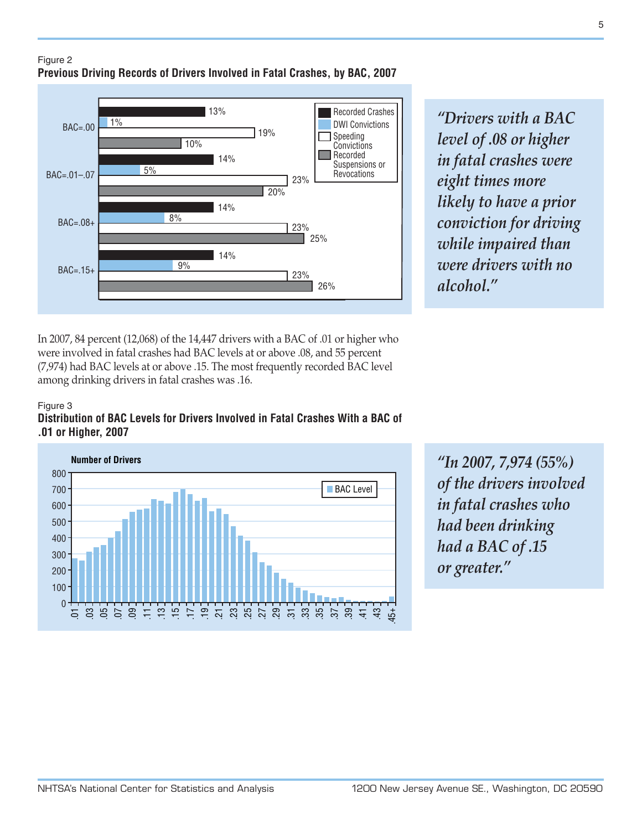

Recorded Crashes *"Drivers with a BAC level of .08 or higher in fatal crashes were eight times more likely to have a prior conviction for driving while impaired than were drivers with no alcohol."*

In 2007, 84 percent (12,068) of the 14,447 drivers with a BAC of .01 or higher who were involved in fatal crashes had BAC levels at or above .08, and 55 percent (7,974) had BAC levels at or above .15. The most frequently recorded BAC level among drinking drivers in fatal crashes was .16.

#### Figure 3 **Distribution of BAC Levels for Drivers Involved in Fatal Crashes With a BAC of .01 or Higher, 2007**



*"In 2007, 7,974 (55%) of the drivers involved in fatal crashes who had been drinking had a BAC of .15 or greater."*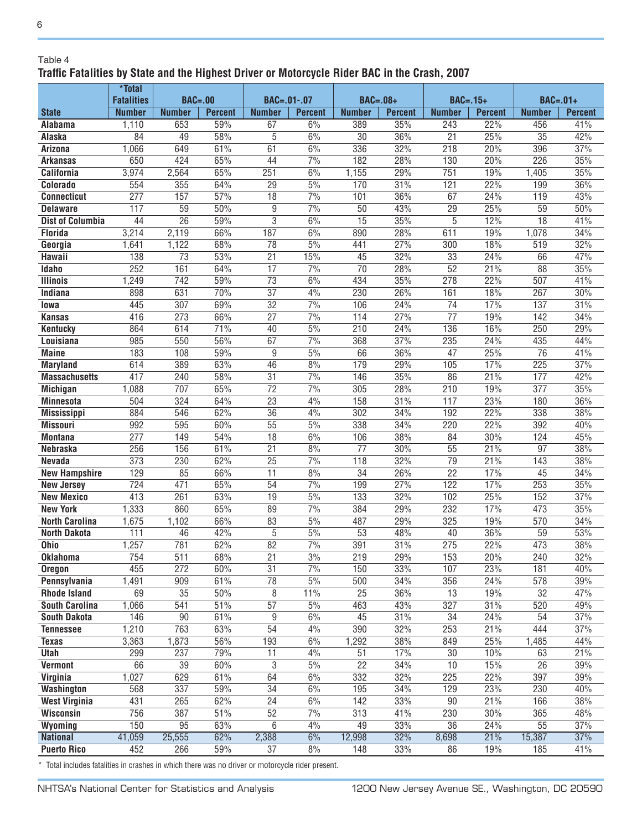#### Table 4

 $6\phantom{a}$ 

# **Traffic Fatalities by State and the Highest Driver or Motorcycle Rider BAC in the Crash, 2007**

|                                              | *Total            |                        |                |                          |                  |                        |                |                  |                |                 |                |
|----------------------------------------------|-------------------|------------------------|----------------|--------------------------|------------------|------------------------|----------------|------------------|----------------|-----------------|----------------|
|                                              | <b>Fatalities</b> | <b>BAC=.00</b>         |                | BAC=.01-.07              |                  | <b>BAC=.08+</b>        |                | $BAC = .15+$     |                | $BAC=.01+$      |                |
| <b>State</b>                                 | <b>Number</b>     | <b>Number</b>          | <b>Percent</b> | <b>Number</b>            | <b>Percent</b>   | <b>Number</b>          | <b>Percent</b> | <b>Number</b>    | <b>Percent</b> | <b>Number</b>   | <b>Percent</b> |
| <b>Alabama</b>                               | 1,110             | 653                    | 59%            | 67                       | 6%               | 389                    | 35%            | 243              | 22%            | 456             | 41%            |
| Alaska                                       | $\overline{84}$   | 49                     | 58%            | $\overline{5}$           | 6%               | $\overline{30}$        | 36%<br>32%     | $\overline{21}$  | 25%            | $\overline{35}$ | 42%            |
| Arizona                                      | 1,066             | 649                    | 61%            | 61<br>44                 | 6%               | 336                    |                | 218              | 20%<br>20%     | 396             | 37%<br>35%     |
| <b>Arkansas</b>                              | 650               | 424                    | 65%            |                          | 7%               | 182                    | 28%            | 130              |                | 226             |                |
| <b>California</b>                            | 3,974             | 2,564<br>355           | 65%            | 251<br>29                | 6%<br>5%         | 1,155<br>170           | 29%<br>31%     | 751              | 19%<br>22%     | 1,405           | 35%<br>36%     |
| Colorado                                     | 554<br>277        | 157                    | 64%            | $\overline{18}$          | $\overline{7\%}$ |                        |                | 121<br>67        |                | 199             |                |
| <b>Connecticut</b><br><b>Delaware</b>        | 117               | $\overline{59}$        | 57%<br>50%     | $\overline{9}$           | 7%               | 101<br>50              | 36%<br>43%     | 29               | 24%<br>25%     | 119<br>59       | 43%<br>50%     |
| <b>Dist of Columbia</b>                      | 44                | $\overline{26}$        | 59%            | $\overline{3}$           | 6%               | $\overline{15}$        | 35%            | 5                | 12%            | $\overline{18}$ | 41%            |
| <b>Florida</b>                               | 3,214             | 2,119                  | 66%            | 187                      | 6%               | 890                    | 28%            | 611              | 19%            | 1,078           | 34%            |
| Georgia                                      | 1,641             | 1,122                  | 68%            | 78                       | 5%               | 441                    | 27%            | 300              | 18%            | 519             | 32%            |
| Hawaii                                       | 138               | $\overline{73}$        | 53%            | $\overline{21}$          | 15%              | 45                     | 32%            | $\overline{33}$  | 24%            | 66              | 47%            |
| Idaho                                        | 252               | 161                    | 64%            | $\overline{17}$          | 7%               | $\overline{70}$        | 28%            | 52               | 21%            | 88              | 35%            |
| <b>Illinois</b>                              | 1,249             | 742                    | 59%            | $\overline{73}$          | 6%               | 434                    | 35%            | 278              | 22%            | 507             | 41%            |
| Indiana                                      | 898               | 631                    | 70%            | $\overline{37}$          | 4%               | 230                    | 26%            | 161              | 18%            | 267             | 30%            |
| lowa                                         | 445               | 307                    | 69%            | $\overline{32}$          | 7%               | 106                    | 24%            | $\overline{74}$  | 17%            | 137             | 31%            |
| <b>Kansas</b>                                | 416               | 273                    | 66%            | $\overline{27}$          | $\overline{7\%}$ | 114                    | 27%            | $\overline{77}$  | 19%            | 142             | 34%            |
| <b>Kentucky</b>                              | 864               | 614                    | 71%            | 40                       | 5%               | $\overline{210}$       | 24%            | 136              | 16%            | 250             | 29%            |
| Louisiana                                    | 985               | 550                    | 56%            | 67                       | $\frac{7\%}{ }$  | 368                    | 37%            | 235              | 24%            | 435             | 44%            |
| <b>Maine</b>                                 | 183               | 108                    | 59%            | $\overline{9}$           | 5%               | 66                     | 36%            | $\overline{47}$  | 25%            | $\overline{76}$ | 41%            |
| <b>Maryland</b>                              | 614               | 389                    | 63%            | $\overline{46}$          | 8%               | 179                    | 29%            | 105              | 17%            | 225             | 37%            |
| <b>Massachusetts</b>                         | 417               | 240                    | 58%            | $\overline{31}$          | 7%               | 146                    | 35%            | 86               | 21%            | 177             | 42%            |
| <b>Michigan</b>                              | 1,088             | 707                    | 65%            | $\overline{72}$          | $\frac{70}{6}$   | 305                    | 28%            | 210              | 19%            | 377             | 35%            |
| <b>Minnesota</b>                             | 504               | 324                    | 64%            | $\overline{23}$          | 4%               | 158                    | 31%            | 117              | 23%            | 180             | 36%            |
| <b>Mississippi</b>                           | 884               | 546                    | 62%            | $\overline{36}$          | 4%               | 302                    | 34%            | 192              | 22%            | 338             | 38%            |
| <b>Missouri</b>                              | 992               | 595                    | 60%            | $\overline{55}$          | 5%               | 338                    | 34%            | 220              | 22%            | 392             | 40%            |
| <b>Montana</b>                               | 277               | 149                    | 54%            | $\overline{18}$          | 6%               | 106                    | 38%            | 84               | 30%            | 124             | 45%            |
| <b>Nebraska</b>                              | 256               | 156                    | 61%            | $\overline{21}$          | 8%               | 77                     | 30%            | 55               | 21%            | 97              | 38%            |
| <b>Nevada</b>                                | 373               | 230                    | 62%            | $\overline{25}$          | 7%               | 118                    | 32%            | $\overline{79}$  | 21%            | 143             | 38%            |
| <b>New Hampshire</b>                         | 129               | 85                     | 66%            | $\overline{11}$          | 8%               | $\overline{34}$        | 26%            | $\overline{22}$  | 17%            | 45              | 34%            |
| <b>New Jersey</b>                            | $\overline{724}$  | 471                    | 65%            | $\overline{54}$          | 7%               | 199                    | 27%            | $\overline{122}$ | 17%            | 253             | 35%            |
| <b>New Mexico</b>                            | 413               | 261                    | 63%            | $\overline{19}$          | 5%               | 133                    | 32%            | 102              | 25%            | 152             | 37%            |
| <b>New York</b>                              | 1,333             | 860                    | 65%            | 89                       | 7%               | 384                    | 29%            | 232              | 17%            | 473             | 35%            |
| <b>North Carolina</b>                        | 1,675             | 1,102                  | 66%            | 83                       | 5%               | 487                    | 29%            | 325              | 19%            | 570             | 34%            |
| <b>North Dakota</b>                          | 111               | 46                     | 42%            | 5                        | 5%               | $\overline{53}$        | 48%            | 40               | 36%            | 59              | 53%            |
| <b>Ohio</b>                                  | 1,257             | 781                    | 62%            | 82                       | 7%               | 391                    | 31%            | 275              | 22%            | 473             | 38%            |
| <b>Oklahoma</b>                              | 754               | 511                    | 68%            | 21                       | 3%               | 219                    | 29%            | 153              | 20%            | 240             | 32%            |
| <b>Oregon</b>                                | 455               | 272                    | 60%            | $\overline{31}$          | 7%               | 150                    | 33%            | 107              | 23%            | 181             | 40%            |
| Pennsylvania                                 | 1,491             | 909                    | 61%            | $\overline{78}$          | 5%               | 500                    | 34%            | 356              | 24%            | 578             | 39%            |
| <b>Rhode Island</b>                          | 69                | $\overline{35}$        | 50%            | $8\,$<br>$\overline{57}$ | 11%              | $\overline{25}$        | 36%            | $\overline{13}$  | 19%            | $\overline{32}$ | 47%            |
| <b>South Carolina</b><br><b>South Dakota</b> | 1,066<br>146      | 541<br>$\overline{90}$ | 51%<br>61%     | $\overline{9}$           | 5%<br>6%         | 463<br>$\overline{45}$ | 43%<br>31%     | 327<br>34        | 31%<br>24%     | 520<br>54       | 49%<br>37%     |
| <b>Tennessee</b>                             | 1,210             | 763                    | 63%            | 54                       | 4%               | 390                    | 32%            | 253              | 21%            | 444             | 37%            |
| <b>Texas</b>                                 | 3,363             | 1,873                  | 56%            | 193                      | 6%               | 1,292                  | 38%            | 849              | 25%            | 1,485           | 44%            |
| <b>Utah</b>                                  | 299               | 237                    | 79%            | $\overline{11}$          | 4%               | 51                     | 17%            | 30               | 10%            | 63              | 21%            |
| <b>Vermont</b>                               | 66                | 39                     | 60%            | 3                        | $5\%$            | $\overline{22}$        | 34%            | 10               | 15%            | 26              | 39%            |
| <b>Virginia</b>                              | 1,027             | 629                    | 61%            | 64                       | 6%               | 332                    | 32%            | 225              | 22%            | 397             | 39%            |
| Washington                                   | 568               | 337                    | 59%            | 34                       | 6%               | 195                    | 34%            | 129              | 23%            | 230             | 40%            |
| <b>West Virginia</b>                         | 431               | 265                    | 62%            | $\overline{24}$          | 6%               | 142                    | 33%            | $\overline{90}$  | 21%            | 166             | 38%            |
| <b>Wisconsin</b>                             | 756               | 387                    | 51%            | 52                       | 7%               | 313                    | 41%            | 230              | 30%            | 365             | 48%            |
| Wyoming                                      | 150               | 95                     | 63%            | $\overline{6}$           | 4%               | 49                     | 33%            | 36               | 24%            | 55              | 37%            |
| <b>National</b>                              | 41,059            | 25,555                 | 62%            | 2,388                    | 6%               | 12,998                 | 32%            | 8,698            | 21%            | 15,387          | 37%            |
| <b>Puerto Rico</b>                           | 452               | 266                    | 59%            | $\overline{37}$          | 8%               | 148                    | 33%            | 86               | 19%            | 185             | 41%            |

\* Total includes fatalities in crashes in which there was no driver or motorcycle rider present.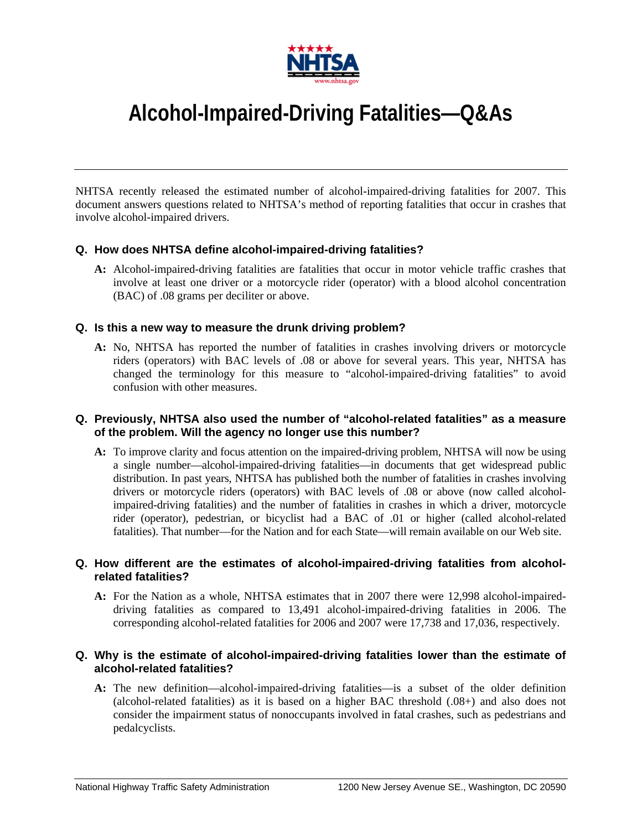

# **Alcohol-Impaired-Driving Fatalities—Q&As**

NHTSA recently released the estimated number of alcohol-impaired-driving fatalities for 2007. This document answers questions related to NHTSA's method of reporting fatalities that occur in crashes that involve alcohol-impaired drivers.

#### **Q. How does NHTSA define alcohol-impaired-driving fatalities?**

**A:** Alcohol-impaired-driving fatalities are fatalities that occur in motor vehicle traffic crashes that involve at least one driver or a motorcycle rider (operator) with a blood alcohol concentration (BAC) of .08 grams per deciliter or above.

#### **Q. Is this a new way to measure the drunk driving problem?**

**A:** No, NHTSA has reported the number of fatalities in crashes involving drivers or motorcycle riders (operators) with BAC levels of .08 or above for several years. This year, NHTSA has changed the terminology for this measure to "alcohol-impaired-driving fatalities" to avoid confusion with other measures.

#### **Q. Previously, NHTSA also used the number of "alcohol-related fatalities" as a measure of the problem. Will the agency no longer use this number?**

**A:** To improve clarity and focus attention on the impaired-driving problem, NHTSA will now be using a single number—alcohol-impaired-driving fatalities—in documents that get widespread public distribution. In past years, NHTSA has published both the number of fatalities in crashes involving drivers or motorcycle riders (operators) with BAC levels of .08 or above (now called alcoholimpaired-driving fatalities) and the number of fatalities in crashes in which a driver, motorcycle rider (operator), pedestrian, or bicyclist had a BAC of .01 or higher (called alcohol-related fatalities). That number—for the Nation and for each State—will remain available on our Web site.

#### **Q. How different are the estimates of alcohol-impaired-driving fatalities from alcoholrelated fatalities?**

**A:** For the Nation as a whole, NHTSA estimates that in 2007 there were 12,998 alcohol-impaireddriving fatalities as compared to 13,491 alcohol-impaired-driving fatalities in 2006. The corresponding alcohol-related fatalities for 2006 and 2007 were 17,738 and 17,036, respectively.

#### **Q. Why is the estimate of alcohol-impaired-driving fatalities lower than the estimate of alcohol-related fatalities?**

**A:** The new definition—alcohol-impaired-driving fatalities—is a subset of the older definition (alcohol-related fatalities) as it is based on a higher BAC threshold (.08+) and also does not consider the impairment status of nonoccupants involved in fatal crashes, such as pedestrians and pedalcyclists.